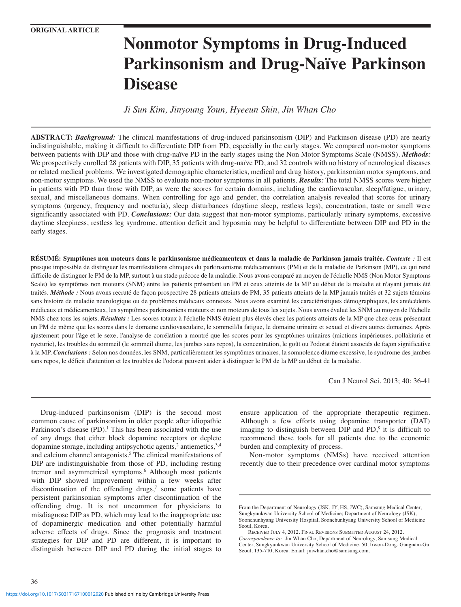# **Nonmotor Symptoms in Drug-Induced Parkinsonism and Drug-Naïve Parkinson Disease**

*Ji Sun Kim, Jinyoung Youn, Hyeeun Shin, Jin Whan Cho*

**ABSTRACT:** *Background:* The clinical manifestations of drug-induced parkinsonism (DIP) and Parkinson disease (PD) are nearly indistinguishable, making it difficult to differentiate DIP from PD, especially in the early stages. We compared non-motor symptoms between patients with DIP and those with drug-naïve PD in the early stages using the Non Motor Symptoms Scale (NMSS). *Methods:* We prospectively enrolled 28 patients with DIP, 35 patients with drug-naïve PD, and 32 controls with no history of neurological diseases or related medical problems. We investigated demographic characteristics, medical and drug history, parkinsonian motor symptoms, and non-motor symptoms. We used the NMSS to evaluate non-motor symptoms in all patients. *Results:* The total NMSS scores were higher in patients with PD than those with DIP, as were the scores for certain domains, including the cardiovascular, sleep/fatigue, urinary, sexual, and miscellaneous domains. When controlling for age and gender, the correlation analysis revealed that scores for urinary symptoms (urgency, frequency and nocturia), sleep disturbances (daytime sleep, restless legs), concentration, taste or smell were significantly associated with PD. *Conclusions:* Our data suggest that non-motor symptoms, particularly urinary symptoms, excessive daytime sleepiness, restless leg syndrome, attention deficit and hyposmia may be helpful to differentiate between DIP and PD in the early stages.

**RÉSUMÉ: Symptômes non moteurs dans le parkinsonisme médicamenteux et dans la maladie de Parkinson jamais traitée.** *Contexte :* Il est presque impossible de distinguer les manifestations cliniques du parkinsonisme médicamenteux (PM) et de la maladie de Parkinson (MP), ce qui rend difficile de distinguer le PM de la MP, surtout à un stade précoce de la maladie. Nous avons comparé au moyen de l'échelle NMS (Non Motor Symptoms Scale) les symptômes non moteurs (SNM) entre les patients présentant un PM et ceux atteints de la MP au début de la maladie et n'ayant jamais été traités. *Méthode :* Nous avons recruté de façon prospective 28 patients atteints de PM, 35 patients atteints de la MP jamais traités et 32 sujets témoins sans histoire de maladie neurologique ou de problèmes médicaux connexes. Nous avons examiné les caractéristiques démographiques, les antécédents médicaux et médicamenteux, les symptômes parkinsoniens moteurs et non moteurs de tous les sujets. Nous avons évalué les SNM au moyen de l'échelle NMS chez tous les sujets. *Résultats :* Les scores totaux à l'échelle NMS étaient plus élevés chez les patients atteints de la MP que chez ceux présentant un PM de même que les scores dans le domaine cardiovasculaire, le sommeil/la fatigue, le domaine urinaire et sexuel et divers autres domaines. Après ajustement pour l'âge et le sexe, l'analyse de corrélation a montré que les scores pour les symptômes urinaires (mictions impérieuses, pollakiurie et nycturie), les troubles du sommeil (le sommeil diurne, les jambes sans repos), la concentration, le goût ou l'odorat étaient associés de façon significative à la MP. *Conclusions :* Selon nos données, les SNM, particulièrement les symptômes urinaires, la somnolence diurne excessive, le syndrome des jambes sans repos, le déficit d'attention et les troubles de l'odorat peuvent aider à distinguer le PM de la MP au début de la maladie.

Can J Neurol Sci. 2013; 40: 36-41

Drug-induced parkinsonism (DIP) is the second most common cause of parkinsonism in older people after idiopathic Parkinson's disease  $(PD)$ .<sup>1</sup> This has been associated with the use of any drugs that either block dopamine receptors or deplete dopamine storage, including antipsychotic agents,<sup>2</sup> antiemetics,<sup>3,4</sup> and calcium channel antagonists.<sup>5</sup> The clinical manifestations of DIP are indistinguishable from those of PD, including resting tremor and asymmetrical symptoms.6 Although most patients with DIP showed improvement within a few weeks after discontinuation of the offending drugs,<sup>7</sup> some patients have persistent parkinsonian symptoms after discontinuation of the offending drug. It is not uncommon for physicians to misdiagnose DIP as PD, which may lead to the inappropriate use of dopaminergic medication and other potentially harmful adverse effects of drugs. Since the prognosis and treatment strategies for DIP and PD are different, it is important to distinguish between DIP and PD during the initial stages to ensure application of the appropriate therapeutic regimen. Although a few efforts using dopamine transporter (DAT) imaging to distinguish between DIP and  $PD<sub>i</sub><sup>8</sup>$  it is difficult to recommend these tools for all patients due to the economic burden and complexity of process.

Non-motor symptoms (NMSs) have received attention recently due to their precedence over cardinal motor symptoms

From the Department of Neurology (JSK, JY, HS, JWC), Samsung Medical Center, Sungkyunkwan University School of Medicine; Department of Neurology (JSK), Soonchunhyang University Hospital, Soonchunhyang University School of Medicine Seoul, Korea.

RECEIVED JULY 4, 2012. FINAL REVISIONS SUBMITTED AUGUST 24, 2012. *Correspondence to:* Jin Whan Cho, Department of Neurology, Samsung Medical Center, Sungkyunkwan University School of Medicine, 50, Irwon-Dong, Gangnam-Gu Seoul, 135-710, Korea. Email: jinwhan.cho@samsung.com.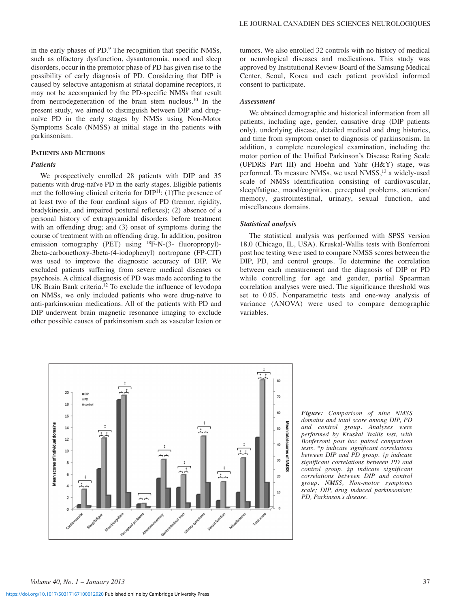in the early phases of PD.9 The recognition that specific NMSs, such as olfactory dysfunction, dysautonomia, mood and sleep disorders, occur in the premotor phase of PD has given rise to the possibility of early diagnosis of PD. Considering that DIP is caused by selective antagonism at striatal dopamine receptors, it may not be accompanied by the PD-specific NMSs that result from neurodegeneration of the brain stem nucleus.10 In the present study, we aimed to distinguish between DIP and drugnaïve PD in the early stages by NMSs using Non-Motor Symptoms Scale (NMSS) at initial stage in the patients with parkinsonism.

# **PATIENTS AND METHODS**

# *Patients*

We prospectively enrolled 28 patients with DIP and 35 patients with drug-naïve PD in the early stages. Eligible patients met the following clinical criteria for DIP11: (1)The presence of at least two of the four cardinal signs of PD (tremor, rigidity, bradykinesia, and impaired postural reflexes); (2) absence of a personal history of extrapyramidal disorders before treatment with an offending drug; and (3) onset of symptoms during the course of treatment with an offending drug. In addition, positron emission tomography (PET) using <sup>18</sup>F-N-(3- fluoropropyl)-2beta-carbonethoxy-3beta-(4-iodophenyl) nortropane (FP-CIT) was used to improve the diagnostic accuracy of DIP. We excluded patients suffering from severe medical diseases or psychosis. A clinical diagnosis of PD was made according to the UK Brain Bank criteria.<sup>12</sup> To exclude the influence of levodopa on NMSs, we only included patients who were drug-naïve to anti-parkinsonian medications. All of the patients with PD and DIP underwent brain magnetic resonance imaging to exclude other possible causes of parkinsonism such as vascular lesion or

tumors. We also enrolled 32 controls with no history of medical or neurological diseases and medications. This study was approved by Institutional Review Board of the Samsung Medical Center, Seoul, Korea and each patient provided informed consent to participate.

# *Assessment*

We obtained demographic and historical information from all patients, including age, gender, causative drug (DIP patients only), underlying disease, detailed medical and drug histories, and time from symptom onset to diagnosis of parkinsonism. In addition, a complete neurological examination, including the motor portion of the Unified Parkinson's Disease Rating Scale (UPDRS Part III) and Hoehn and Yahr (H&Y) stage, was performed. To measure NMSs, we used NMSS,<sup>13</sup> a widely-used scale of NMSs identification consisting of cardiovascular, sleep/fatigue, mood/cognition, perceptual problems, attention/ memory, gastrointestinal, urinary, sexual function, and miscellaneous domains.

#### *Statistical analysis*

The statistical analysis was performed with SPSS version 18.0 (Chicago, IL, USA). Kruskal-Wallis tests with Bonferroni post hoc testing were used to compare NMSS scores between the DIP, PD, and control groups. To determine the correlation between each measurement and the diagnosis of DIP or PD while controlling for age and gender, partial Spearman correlation analyses were used. The significance threshold was set to 0.05. Nonparametric tests and one-way analysis of variance (ANOVA) were used to compare demographic variables.



*Figure: Comparison of nine NMSS domains and total score among DIP, PD and control group. Analyses were performed by Kruskal Wallis test, with Bonferroni post hoc paired comparison tests. \*p indicate significant correlations between DIP and PD group. †p indicate significant correlations between PD and control group. ‡p indicate significant correlations between DIP and control group. NMSS, Non-motor symptoms scale; DIP, drug induced parkinsonism; PD, Parkinson's disease.*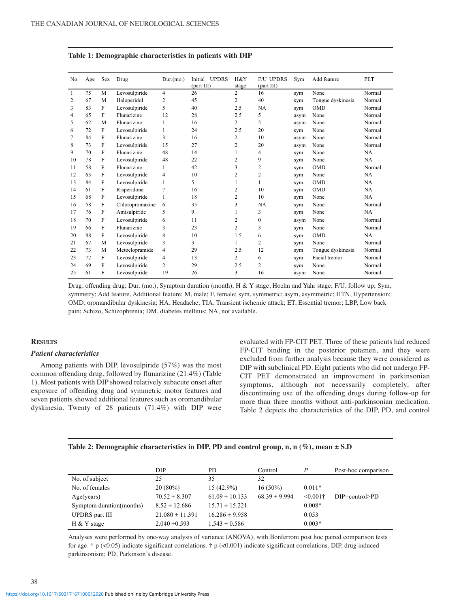| No.            | Age | Sex | Drug            | Dur(mo.)     | <b>UPDRS</b><br>Initial<br>(part III) | H&Y<br>stage   | <b>F/U UPDRS</b><br>(part III) | Sym  | Add feature       | <b>PET</b> |
|----------------|-----|-----|-----------------|--------------|---------------------------------------|----------------|--------------------------------|------|-------------------|------------|
| -1             | 75  | M   | Levosulpiride   | 4            | 26                                    | $\overline{c}$ | 16                             | sym  | None              | Normal     |
| $\overline{2}$ | 67  | M   | Haloperidol     | 2            | 45                                    | 2              | 40                             | sym  | Tongue dyskinesia | Normal     |
| 3              | 83  | F   | Levosulpiride   | 5            | 40                                    | 2.5            | <b>NA</b>                      | sym  | <b>OMD</b>        | Normal     |
| 4              | 65  | F   | Flunarizine     | 12           | 28                                    | 2.5            | 5                              | asym | None              | Normal     |
| 5              | 62  | M   | Flunarizine     | 1            | 16                                    | 2              | 5                              | asym | None              | Normal     |
| 6              | 72  | F   | Levosulpiride   | $\mathbf{1}$ | 24                                    | 2.5            | 20                             | sym  | None              | Normal     |
| 7              | 84  | F   | Flunarizine     | 3            | 16                                    | 2              | 10                             | asym | None              | Normal     |
| 8              | 73  | F   | Levosulpiride   | 15           | 27                                    | 2              | 20                             | asym | None              | Normal     |
| 9              | 70  | F   | Flunarizine     | 48           | 14                                    | 1              | 4                              | sym  | None              | <b>NA</b>  |
| 10             | 78  | F   | Levosulpiride   | 48           | 22                                    | 2              | 9                              | sym  | None              | <b>NA</b>  |
| 11             | 58  | F   | Flunarizine     | 1            | 42                                    | 3              | $\overline{2}$                 | sym  | <b>OMD</b>        | Normal     |
| 12             | 63  | F   | Levosulpiride   | 4            | 10                                    | 2              | $\overline{2}$                 | sym  | None              | NA         |
| 13             | 84  | F   | Levosulpiride   | 1            | 5                                     | 1              | $\mathbf{1}$                   | sym  | <b>OMD</b>        | <b>NA</b>  |
| 14             | 61  | F   | Risperidone     | 7            | 16                                    | 2              | 10                             | sym  | <b>OMD</b>        | NA         |
| 15             | 68  | F   | Levosulpiride   | 1            | 18                                    | 2              | 10                             | sym  | None              | <b>NA</b>  |
| 16             | 58  | F   | Chloropromazine | 6            | 35                                    | 3              | <b>NA</b>                      | sym  | None              | Normal     |
| 17             | 76  | F   | Amisulpiride    | 5            | 9                                     | 1              | 3                              | sym  | None              | NA         |
| 18             | 70  | F   | Levosulpiride   | 6            | 11                                    | 2              | $\boldsymbol{0}$               | asym | None              | Normal     |
| 19             | 66  | F   | Flunarizine     | 3            | 23                                    | $\overline{c}$ | 3                              | sym  | None              | Normal     |
| 20             | 88  | F   | Levosulpiride   | 8            | 10                                    | 1.5            | 6                              | sym  | <b>OMD</b>        | <b>NA</b>  |
| 21             | 67  | M   | Levosulpiride   | 3            | 3                                     | $\mathbf{1}$   | $\overline{c}$                 | sym  | None              | Normal     |
| 22             | 73  | M   | Metoclopramide  | 4            | 29                                    | 2.5            | 12                             | sym  | Tongue dyskinesia | Normal     |
| 23             | 72  | F   | Levosulpiride   | 4            | 13                                    | 2              | 6                              | sym  | Facial tremor     | Normal     |
| 24             | 69  | F   | Levosulpiride   | 2            | 29                                    | 2.5            | $\overline{c}$                 | sym  | None              | Normal     |
| 25             | 61  | F   | Levosulpiride   | 19           | 26                                    | 3              | 16                             | asym | None              | Normal     |

# **Table 1: Demographic characteristics in patients with DIP**

Drug, offending drug; Dur. (mo.), Symptom duration (month); H & Y stage, Hoehn and Yahr stage; F/U, follow up; Sym, symmetry; Add feature, Additional feature; M, male; F, female; sym, symmetric; asym, asymmetric; HTN, Hypertension; OMD, oromandibular dyskinesia; HA, Headache; TIA, Transient ischemic attack; ET, Essential tremor; LBP, Low back pain; Schizo, Schizophrenia; DM, diabetes mellitus; NA, not available. י

## **RESULTS**

#### *Patient characteristics*

Among patients with DIP, levosulpiride (57%) was the most common offending drug, followed by flunarizine (21.4%) (Table 1). Most patients with DIP showed relatively subacute onset after exposure of offending drug and symmetric motor features and seven patients showed additional features such as oromandibular dyskinesia. Twenty of 28 patients (71.4%) with DIP were

evaluated with FP-CIT PET. Three of these patients had reduced FP-CIT binding in the posterior putamen, and they were excluded from further analysis because they were considered as DIP with subclinical PD. Eight patients who did not undergo FP-CIT PET demonstrated an improvement in parkinsonian symptoms, although not necessarily completely, after discontinuing use of the offending drugs during follow-up for more than three months without anti-parkinsonian medication. Table 2 depicts the characteristics of the DIP, PD, and control

## **Table 2: Demographic characteristics in DIP, PD and control group, n, n (%), mean ± S.D**

|                           | <b>DIP</b>          | PD.                | Control           | P           | Post-hoc comparison |
|---------------------------|---------------------|--------------------|-------------------|-------------|---------------------|
| No. of subject            | 25                  | 35                 | 32                |             |                     |
| No. of females            | $20(80\%)$          | $15(42.9\%)$       | $16(50\%)$        | $0.011*$    |                     |
| Age(years)                | $70.52 \pm 8.307$   | $61.09 \pm 10.133$ | $68.39 \pm 9.994$ | $< 0.001 +$ | $DIP=control>PD$    |
| Symptom duration (months) | $8.52 \pm 12.686$   | $15.71 \pm 15.221$ |                   | $0.008*$    |                     |
| <b>UPDRS</b> part III     | $21.080 \pm 11.391$ | $16.286 \pm 9.958$ |                   | 0.053       |                     |
| H & Y stage               | $2.040 \pm 0.593$   | $1.543 \pm 0.586$  |                   | $0.003*$    |                     |

Analyses were performed by one-way analysis of variance (ANOVA), with Bonferroni post hoc paired comparison tests for age. \* p (<0.05) indicate significant correlations. † p (<0.001) indicate significant correlations. DIP, drug induced parkinsonism; PD, Parkinson's disease.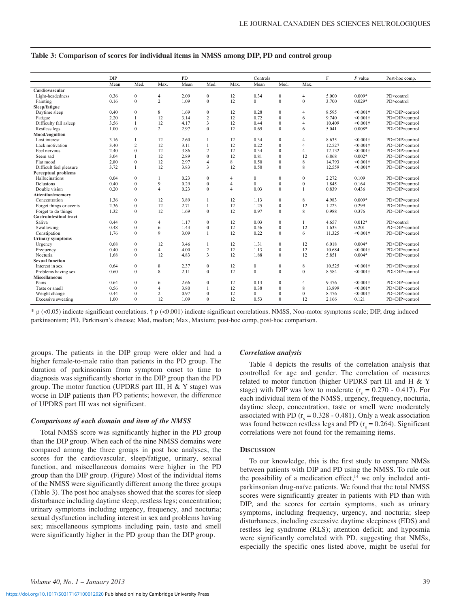|                               | <b>DIP</b> |                |                | <b>PD</b> |                         |                | Controls     |                  |                  | F      | $P$ value         | Post-hoc comp.   |
|-------------------------------|------------|----------------|----------------|-----------|-------------------------|----------------|--------------|------------------|------------------|--------|-------------------|------------------|
|                               | Mean       | Med.           | Max.           | Mean      | Med.                    | Max.           | Mean         | Med.             | Max.             |        |                   |                  |
| Cardiovascular                |            |                |                |           |                         |                |              |                  |                  |        |                   |                  |
| Light-headedness              | 0.36       | $\mathbf{0}$   | 4              | 2.09      | $\mathbf{0}$            | 12             | 0.34         | $\mathbf{0}$     | 4                | 5.000  | $0.009*$          | PD>control       |
| Fainting                      | 0.16       | $\mathbf{0}$   | $\overline{c}$ | 1.09      | $\mathbf{0}$            | 12             | $\mathbf{0}$ | $\mathbf{0}$     | $\mathbf{0}$     | 3.700  | $0.029*$          | PD>control       |
| Sleep/fatigue                 |            |                |                |           |                         |                |              |                  |                  |        |                   |                  |
| Daytime sleep                 | 0.40       | $\mathbf{0}$   | 8              | 1.69      | $\mathbf{0}$            | 12             | 0.28         | $\mathbf{0}$     | 4                | 8.595  | $< 0.001$ †       | PD>DIP=control   |
| Fatigue                       | 2.20       |                | 12             | 3.14      | $\overline{c}$          | 12             | 0.72         | $\mathbf{0}$     | 6                | 9.740  | $< 0.001 +$       | PD=DIP>control   |
| Difficulty fall asleep        | 3.56       | $\mathbf{1}$   | 12             | 4.17      | 3                       | 12             | 0.44         | $\mathbf{0}$     | 4                | 10.409 | $< 0.001$ †       | PD=DIP>control   |
| Restless legs                 | 1.00       | $\mathbf{0}$   | $\overline{c}$ | 2.97      | $\Omega$                | 12             | 0.69         | $\mathbf{0}$     | 6                | 5.041  | $0.008*$          | PD>DIP=control   |
| Mood/cognition                |            |                |                |           |                         |                |              |                  |                  |        |                   |                  |
| Lost interest.                | 3.16       | $\mathbf{1}$   | 12             | 2.60      | 1                       | 12             | 0.34         | $\mathbf{0}$     | 4                | 8.635  | $< 0.001 +$       | PD=DIP>control   |
| Lack motivation               | 3.40       | $\overline{c}$ | 12             | 3.11      | $\mathbf{1}$            | 12             | 0.22         | $\mathbf{0}$     | 4                | 12.527 | $< 0.001$ †       | PD=DIP>control   |
| Feel nervous                  | 2.40       | $\theta$       | 12             | 3.86      | $\overline{c}$          | 12             | 0.34         | $\mathbf{0}$     | $\overline{4}$   | 12.132 | $< 0.001 +$       | PD=DIP>control   |
| Seem sad                      | 3.04       | $\mathbf{1}$   | 12             | 2.89      | $\Omega$                | 12             | 0.81         | $\mathbf{0}$     | 12               | 6.868  | $0.002*$          | PD=DIP>control   |
| Flat mood                     | 2.80       | $\theta$       | 12             | 2.97      | $\overline{4}$          | 8              | 0.50         | $\mathbf{0}$     | 8                | 14.793 | $<0.001$ †        | PD=DIP>control   |
| Difficult feel pleasure       | 3 7 2      | $\mathbf{1}$   | 12             | 3.83      | $\overline{\mathbf{3}}$ | 12             | 0.50         | $\Omega$         | 8                | 12.559 | $< 0.001$ †       | PD=DIP>control   |
| <b>Perceptual problems</b>    |            |                |                |           |                         |                |              |                  |                  |        |                   |                  |
| Hallucinations                | 0.04       | $\mathbf{0}$   | 1              | 0.23      | $\mathbf{0}$            | $\overline{4}$ | $\mathbf{0}$ | $\mathbf{0}$     | $\boldsymbol{0}$ | 2.272  | 0.109             | PD=DIP=control   |
| Delusions                     | 0.40       | $\mathbf{0}$   | 9              | 0.29      | $\mathbf{0}$            | 4              | $\Omega$     | $\mathbf{0}$     | $\boldsymbol{0}$ | 1.845  | 0.164             | PD=DIP=control   |
| Double vision                 | 0.20       | $\Omega$       | $\overline{4}$ | 0.23      | $\Omega$                | $\overline{4}$ | 0.03         | $\Omega$         |                  | 0.839  | 0.436             | $PD=DIP=control$ |
| Attention/memory              |            |                |                |           |                         |                |              |                  |                  |        |                   |                  |
| Concentration                 | 1.36       | $\mathbf{0}$   | 12             | 3.89      | $\mathbf{1}$            | 12             | 1.13         | $\mathbf{0}$     | 8                | 4.983  | $0.009*$          | PD>DIP=control   |
| Forget things or events       | 2.36       | $\mathbf{0}$   | 12             | 2.71      | $\mathbf{1}$            | 12             | 1.25         | $\boldsymbol{0}$ | 12               | 1.223  | 0.299             | $PD=DIP=control$ |
| Forget to do things           | 1.32       | $\Omega$       | 12             | 1.69      | $\Omega$                | 12             | 0.97         | $\Omega$         | 8                | 0.988  | 0.376             | PD=DIP=control   |
| <b>Gastrointestinal tract</b> |            |                |                |           |                         |                |              |                  |                  |        |                   |                  |
| Saliva                        | 0.44       | $\Omega$       | $\overline{4}$ | 1 1 7     | $\Omega$                | 12             | 0.03         | $\mathbf{0}$     | 1                | 4.657  | $0.012*$          | PD>control       |
| Swallowing                    | 0.48       | $\mathbf{0}$   | 6              | 1.43      | $\theta$                | 12             | 0.56         | $\boldsymbol{0}$ | 12               | 1.633  | 0.201             | $PD=DIP=control$ |
| Constipation                  | 1.76       | $\Omega$       | 9              | 3.09      | $\mathbf{1}$            | 12             | 0.22         | $\mathbf{0}$     | 6                | 11.325 | $< 0.001 +$       | PD=DIP>control   |
| <b>Urinary symptoms</b>       |            |                |                |           |                         |                |              |                  |                  |        |                   |                  |
| Urgency                       | 0.68       | $\mathbf{0}$   | 12             | 3.46      | 1                       | 12             | 1.31         | $\mathbf{0}$     | 12               | 6.018  | $0.004*$          | PD>DIP=control   |
| Frequency                     | 0.40       | $\mathbf{0}$   | $\overline{4}$ | 4.00      | $\overline{c}$          | 12             | 1.13         | $\boldsymbol{0}$ | 12               | 10.684 | $< 0.001$ †       | PD>DIP=control   |
| Nocturia                      | 1.68       | $\Omega$       | 12             | 4.83      | $\overline{\mathbf{3}}$ | 12             | 1.88         | $\Omega$         | 12               | 5.851  | $0.004*$          | PD>DIP=control   |
| <b>Sexual function</b>        |            |                |                |           |                         |                |              |                  |                  |        |                   |                  |
| Interest in sex               | 0.64       | $\mathbf{0}$   | 8              | 2.37      | $\mathbf{0}$            | 12             | $\mathbf{0}$ | $\mathbf{0}$     | 8                | 10.525 | $< 0.001 \dagger$ | PD>DIP=control   |
| Problems having sex           | 0.60       | $\mathbf{0}$   | 8              | 2.11      | $\Omega$                | 12             | $\Omega$     | $\mathbf{0}$     | $\mathbf{0}$     | 8.584  | $< 0.001$ †       | PD>DIP=control   |
| <b>Miscellaneous</b>          |            |                |                |           |                         |                |              |                  |                  |        |                   |                  |
| Pains                         | 0.64       | $\mathbf{0}$   | 6              | 2.66      | $\mathbf{0}$            | 12             | 0.13         | $\bf{0}$         | 4                | 9.376  | $< 0.001$ †       | PD>DIP=control   |
| Taste or smell                | 0.56       | $\mathbf{0}$   | $\overline{4}$ | 3.80      | 1                       | 12             | 0.38         | $\mathbf{0}$     | 8                | 13.899 | $< 0.001$ †       | PD>DIP=control   |
| Weight change                 | 0.44       | $\mathbf{0}$   | $\overline{c}$ | 0.97      | $\mathbf{0}$            | 12             | $\mathbf{0}$ | $\mathbf{0}$     | $\mathbf{0}$     | 8.476  | $< 0.001$ †       | PD=DIP>control   |
| Excessive sweating            | 1.00       | $\Omega$       | 12             | 1.09      | $\Omega$                | 12             | 0.53         | $\theta$         | 12               | 2.166  | 0.121             | PD=DIP=control   |
|                               |            |                |                |           |                         |                |              |                  |                  |        |                   |                  |

# **Table 3: Comparison of scores for individual items in NMSS among DIP, PD and control group**

\* p (<0.05) indicate significant correlations. † p (<0.001) indicate significant correlations. NMSS, Non-motor symptoms scale; DIP, drug induced parkinsonism; PD, Parkinson's disease; Med, median; Max, Maxium; post-hoc comp, post-hoc comparison.

groups. The patients in the DIP group were older and had a higher female-to-male ratio than patients in the PD group. The duration of parkinsonism from symptom onset to time to diagnosis was significantly shorter in the DIP group than the PD group. The motor function (UPDRS part III,  $H \& Y$  stage) was worse in DIP patients than PD patients; however, the difference of UPDRS part III was not significant.

#### *Comparisons of each domain and item of the NMSS*

Total NMSS score was significantly higher in the PD group than the DIP group. When each of the nine NMSS domains were compared among the three groups in post hoc analyses, the scores for the cardiovascular, sleep/fatigue, urinary, sexual function, and miscellaneous domains were higher in the PD group than the DIP group. (Figure) Most of the individual items of the NMSS were significantly different among the three groups (Table 3). The post hoc analyses showed that the scores for sleep disturbance including daytime sleep, restless legs; concentration; urinary symptoms including urgency, frequency, and nocturia; sexual dysfunction including interest in sex and problems having sex; miscellaneous symptoms including pain, taste and smell were significantly higher in the PD group than the DIP group.

#### *Correlation analysis*

Table 4 depicts the results of the correlation analysis that controlled for age and gender. The correlation of measures related to motor function (higher UPDRS part III and H & Y stage) with DIP was low to moderate  $(r<sub>s</sub> = 0.270 - 0.417)$ . For each individual item of the NMSS, urgency, frequency, nocturia, daytime sleep, concentration, taste or smell were moderately associated with PD ( $r_s = 0.328 - 0.481$ ). Only a weak association was found between restless legs and PD ( $r<sub>s</sub> = 0.264$ ). Significant correlations were not found for the remaining items.

#### **DISCUSSION**

To our knowledge, this is the first study to compare NMSs between patients with DIP and PD using the NMSS. To rule out the possibility of a medication effect, $14$  we only included antiparkinsonian drug-naïve patients. We found that the total NMSS scores were significantly greater in patients with PD than with DIP, and the scores for certain symptoms, such as urinary symptoms, including frequency, urgency, and nocturia; sleep disturbances, including excessive daytime sleepiness (EDS) and restless leg syndrome (RLS); attention deficit; and hyposmia were significantly correlated with PD, suggesting that NMSs, especially the specific ones listed above, might be useful for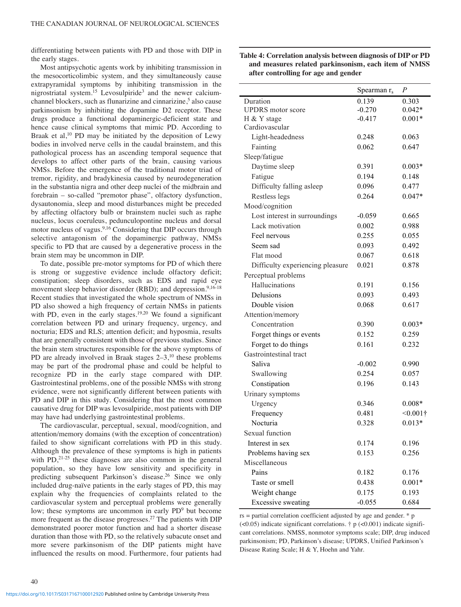differentiating between patients with PD and those with DIP in the early stages.

Most antipsychotic agents work by inhibiting transmission in the mesocorticolimbic system, and they simultaneously cause extrapyramidal symptoms by inhibiting transmission in the nigrostriatal system.<sup>15</sup> Levosulpiride<sup>3</sup> and the newer calciumchannel blockers, such as flunarizine and cinnarizine,<sup>5</sup> also cause parkinsonism by inhibiting the dopamine D2 receptor. These drugs produce a functional dopaminergic-deficient state and hence cause clinical symptoms that mimic PD. According to Braak et al, $10$  PD may be initiated by the deposition of Lewy bodies in involved nerve cells in the caudal brainstem, and this pathological process has an ascending temporal sequence that develops to affect other parts of the brain, causing various NMSs. Before the emergence of the traditional motor triad of tremor, rigidity, and bradykinesia caused by neurodegeneration in the substantia nigra and other deep nuclei of the midbrain and forebrain – so-called "premotor phase", olfactory dysfunction, dysautonomia, sleep and mood disturbances might be preceded by affecting olfactory bulb or brainstem nuclei such as raphe nucleus, locus coeruleus, pedunculopontine nucleus and dorsal motor nucleus of vagus.<sup>9,16</sup> Considering that DIP occurs through selective antagonism of the dopaminergic pathway, NMSs specific to PD that are caused by a degenerative process in the brain stem may be uncommon in DIP.

To date, possible pre-motor symptoms for PD of which there is strong or suggestive evidence include olfactory deficit; constipation; sleep disorders, such as EDS and rapid eye movement sleep behavior disorder (RBD); and depression.<sup>9,16-18</sup> Recent studies that investigated the whole spectrum of NMSs in PD also showed a high frequency of certain NMSs in patients with PD, even in the early stages.<sup>19,20</sup> We found a significant correlation between PD and urinary frequency, urgency, and nocturia; EDS and RLS; attention deficit; and hyposmia, results that are generally consistent with those of previous studies. Since the brain stem structures responsible for the above symptoms of PD are already involved in Braak stages  $2-3$ ,<sup>10</sup> these problems may be part of the prodromal phase and could be helpful to recognize PD in the early stage compared with DIP. Gastrointestinal problems, one of the possible NMSs with strong evidence, were not significantly different between patients with PD and DIP in this study. Considering that the most common causative drug for DIP was levosulpiride, most patients with DIP may have had underlying gastrointestinal problems.

The cardiovascular, perceptual, sexual, mood/cognition, and attention/memory domains (with the exception of concentration) failed to show significant correlations with PD in this study. Although the prevalence of these symptoms is high in patients with  $PD<sub>1</sub><sup>21-25</sup>$  these diagnoses are also common in the general population, so they have low sensitivity and specificity in predicting subsequent Parkinson's disease.26 Since we only included drug-naïve patients in the early stages of PD, this may explain why the frequencies of complaints related to the cardiovascular system and perceptual problems were generally low; these symptoms are uncommon in early PD<sup>9</sup> but become more frequent as the disease progresses.<sup>27</sup> The patients with DIP demonstrated poorer motor function and had a shorter disease duration than those with PD, so the relatively subacute onset and more severe parkinsonism of the DIP patients might have influenced the results on mood. Furthermore, four patients had

| Table 4: Correlation analysis between diagnosis of DIP or PD |
|--------------------------------------------------------------|
| and measures related parkinsonism, each item of NMSS         |
| after controlling for age and gender                         |

|                                  | Spearman $r_s$ | P          |
|----------------------------------|----------------|------------|
| Duration                         | 0.139          | 0.303      |
| <b>UPDRS</b> motor score         | $-0.270$       | $0.042*$   |
| H & Y stage                      | $-0.417$       | $0.001*$   |
| Cardiovascular                   |                |            |
| Light-headedness                 | 0.248          | 0.063      |
| Fainting                         | 0.062          | 0.647      |
| Sleep/fatigue                    |                |            |
| Daytime sleep                    | 0.391          | $0.003*$   |
| Fatigue                          | 0.194          | 0.148      |
| Difficulty falling asleep        | 0.096          | 0.477      |
| Restless legs                    | 0.264          | $0.047*$   |
| Mood/cognition                   |                |            |
| Lost interest in surroundings    | $-0.059$       | 0.665      |
| Lack motivation                  | 0.002          | 0.988      |
| Feel nervous                     | 0.255          | 0.055      |
| Seem sad                         | 0.093          | 0.492      |
| Flat mood                        | 0.067          | 0.618      |
| Difficulty experiencing pleasure | 0.021          | 0.878      |
| Perceptual problems              |                |            |
| Hallucinations                   | 0.191          | 0.156      |
| Delusions                        | 0.093          | 0.493      |
| Double vision                    | 0.068          | 0.617      |
| Attention/memory                 |                |            |
| Concentration                    | 0.390          | $0.003*$   |
| Forget things or events          | 0.152          | 0.259      |
| Forget to do things              | 0.161          | 0.232      |
| Gastrointestinal tract           |                |            |
| Saliva                           | $-0.002$       | 0.990      |
| Swallowing                       | 0.254          | 0.057      |
| Constipation                     | 0.196          | 0.143      |
| Urinary symptoms                 |                |            |
| Urgency                          | 0.346          | $0.008*$   |
| Frequency                        | 0.481          | $<0.001$ † |
| Nocturia                         | 0.328          | $0.013*$   |
| Sexual function                  |                |            |
| Interest in sex                  | 0.174          | 0.196      |
| Problems having sex              | 0.153          | 0.256      |
| Miscellaneous                    |                |            |
| Pains                            | 0.182          | 0.176      |
| Taste or smell                   | 0.438          | $0.001*$   |
| Weight change                    | 0.175          | 0.193      |
| <b>Excessive sweating</b>        | $-0.055$       | 0.684      |
|                                  |                |            |

 $rs =$  partial correlation coefficient adjusted by age and gender.  $*$  p  $(<0.05$ ) indicate significant correlations.  $\dagger$  p  $(<0.001$ ) indicate significant correlations. NMSS, nonmotor symptoms scale; DIP, drug induced parkinsonism; PD, Parkinson's disease; UPDRS, Unified Parkinson's Disease Rating Scale; H & Y, Hoehn and Yahr.